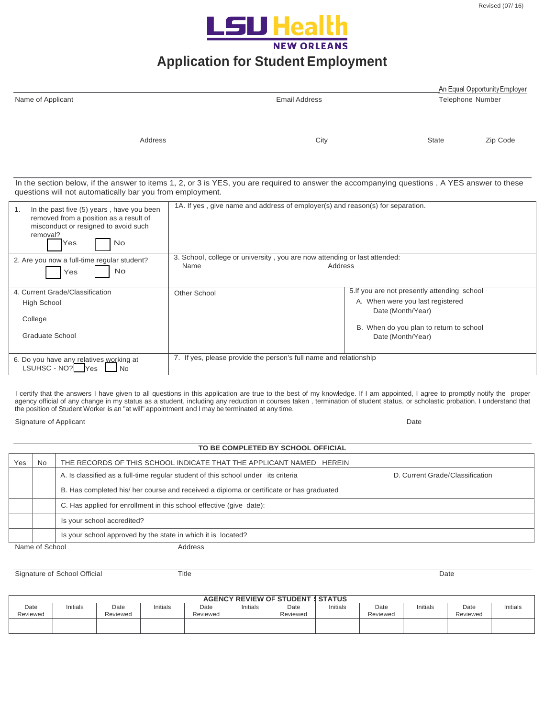

## **Application for Student Employment**

|                                                                                                                                                                                                            |                                                                                   |                      |                                                                                                                                                                       | An Equal Opportunity Employer |
|------------------------------------------------------------------------------------------------------------------------------------------------------------------------------------------------------------|-----------------------------------------------------------------------------------|----------------------|-----------------------------------------------------------------------------------------------------------------------------------------------------------------------|-------------------------------|
| Name of Applicant                                                                                                                                                                                          |                                                                                   | <b>Email Address</b> |                                                                                                                                                                       | Telephone Number              |
| Address                                                                                                                                                                                                    |                                                                                   | City                 | <b>State</b>                                                                                                                                                          | Zip Code                      |
| In the section below, if the answer to items 1, 2, or 3 is YES, you are required to answer the accompanying questions . A YES answer to these<br>questions will not automatically bar you from employment. |                                                                                   |                      |                                                                                                                                                                       |                               |
| In the past five (5) years, have you been<br>1.<br>removed from a position as a result of<br>misconduct or resigned to avoid such<br>removal?<br><b>No</b><br>Yes                                          | 1A. If yes, give name and address of employer(s) and reason(s) for separation.    |                      |                                                                                                                                                                       |                               |
| 2. Are you now a full-time regular student?<br>No<br>Yes                                                                                                                                                   | 3. School, college or university, you are now attending or last attended:<br>Name | Address              |                                                                                                                                                                       |                               |
| 4. Current Grade/Classification<br><b>High School</b><br>College<br><b>Graduate School</b>                                                                                                                 | Other School                                                                      |                      | 5. If you are not presently attending school<br>A. When were you last registered<br>Date (Month/Year)<br>B. When do you plan to return to school<br>Date (Month/Year) |                               |
| 6. Do you have any relatives working at<br>LSUHSC - NO? Yes<br>N <sub>o</sub>                                                                                                                              | 7. If yes, please provide the person's full name and relationship                 |                      |                                                                                                                                                                       |                               |

I certify that the answers I have given to all questions in this application are true to the best of my knowledge. If I am appointed, I agree to promptly notify the proper agency official of any change in my status as a student, including any reduction in courses taken, termination of student status, or scholastic probation. I understand that the position of Student Worker is an "at will" appointment and I may be terminated at any time.

Signature of Applicant Date of Applicant Date of Applicant Date of Applicant Date of Applicant Date of Applicant Date of Applicant Date of Applicant Date of Applicant Date of Applicant Date of Applicant Date of Applicant D

|     | TO BE COMPLETED BY SCHOOL OFFICIAL |                                                                                         |                                 |  |  |  |  |
|-----|------------------------------------|-----------------------------------------------------------------------------------------|---------------------------------|--|--|--|--|
| Yes | <b>No</b>                          | THE RECORDS OF THIS SCHOOL INDICATE THAT THE APPLICANT NAMED HEREIN                     |                                 |  |  |  |  |
|     |                                    | A. Is classified as a full-time regular student of this school under its criteria       | D. Current Grade/Classification |  |  |  |  |
|     |                                    | B. Has completed his/ her course and received a diploma or certificate or has graduated |                                 |  |  |  |  |
|     |                                    | C. Has applied for enrollment in this school effective (give date):                     |                                 |  |  |  |  |
|     |                                    | Is your school accredited?                                                              |                                 |  |  |  |  |
|     |                                    | Is your school approved by the state in which it is located?                            |                                 |  |  |  |  |
|     | Name of School<br>Address          |                                                                                         |                                 |  |  |  |  |

Signature of School Official Title Date

| <b>AGENCY REVIEW OF STUDENT I STATUS</b> |          |                  |         |                  |          |                  |          |                  |          |                  |          |
|------------------------------------------|----------|------------------|---------|------------------|----------|------------------|----------|------------------|----------|------------------|----------|
| Date<br>Reviewed                         | Initials | Date<br>Reviewed | nitials | Date<br>Reviewed | Initials | Date<br>Reviewed | Initials | Date<br>Reviewed | Initials | Date<br>Reviewed | Initials |
|                                          |          |                  |         |                  |          |                  |          |                  |          |                  |          |